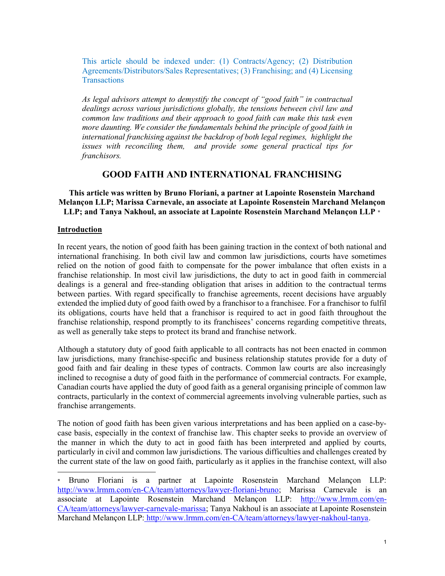This article should be indexed under: (1) Contracts/Agency; (2) Distribution Agreements/Distributors/Sales Representatives; (3) Franchising; and (4) Licensing **Transactions** 

As legal advisors attempt to demystify the concept of "good faith" in contractual dealings across various jurisdictions globally, the tensions between civil law and common law traditions and their approach to good faith can make this task even more daunting. We consider the fundamentals behind the principle of good faith in international franchising against the backdrop of both legal regimes, highlight the issues with reconciling them, and provide some general practical tips for franchisors.

# GOOD FAITH AND INTERNATIONAL FRANCHISING

This article was written by Bruno Floriani, a partner at Lapointe Rosenstein Marchand Melançon LLP; Marissa Carnevale, an associate at Lapointe Rosenstein Marchand Melançon LLP; and Tanya Nakhoul, an associate at Lapointe Rosenstein Marchand Melançon LLP \*

#### Introduction

-

In recent years, the notion of good faith has been gaining traction in the context of both national and international franchising. In both civil law and common law jurisdictions, courts have sometimes relied on the notion of good faith to compensate for the power imbalance that often exists in a franchise relationship. In most civil law jurisdictions, the duty to act in good faith in commercial dealings is a general and free-standing obligation that arises in addition to the contractual terms between parties. With regard specifically to franchise agreements, recent decisions have arguably extended the implied duty of good faith owed by a franchisor to a franchisee. For a franchisor to fulfil its obligations, courts have held that a franchisor is required to act in good faith throughout the franchise relationship, respond promptly to its franchisees' concerns regarding competitive threats, as well as generally take steps to protect its brand and franchise network.

Although a statutory duty of good faith applicable to all contracts has not been enacted in common law jurisdictions, many franchise-specific and business relationship statutes provide for a duty of good faith and fair dealing in these types of contracts. Common law courts are also increasingly inclined to recognise a duty of good faith in the performance of commercial contracts. For example, Canadian courts have applied the duty of good faith as a general organising principle of common law contracts, particularly in the context of commercial agreements involving vulnerable parties, such as franchise arrangements.

The notion of good faith has been given various interpretations and has been applied on a case-bycase basis, especially in the context of franchise law. This chapter seeks to provide an overview of the manner in which the duty to act in good faith has been interpreted and applied by courts, particularly in civil and common law jurisdictions. The various difficulties and challenges created by the current state of the law on good faith, particularly as it applies in the franchise context, will also

Bruno Floriani is a partner at Lapointe Rosenstein Marchand Melançon LLP: http://www.lrmm.com/en-CA/team/attorneys/lawyer-floriani-bruno; Marissa Carnevale is an associate at Lapointe Rosenstein Marchand Melançon LLP: http://www.lrmm.com/en-CA/team/attorneys/lawyer-carnevale-marissa; Tanya Nakhoul is an associate at Lapointe Rosenstein Marchand Melançon LLP: http://www.lrmm.com/en-CA/team/attorneys/lawyer-nakhoul-tanya.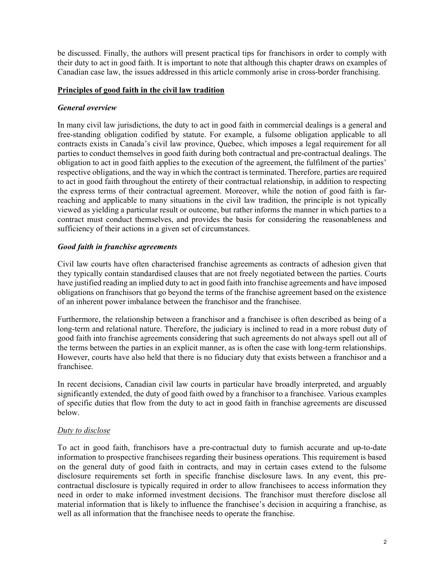be discussed. Finally, the authors will present practical tips for franchisors in order to comply with their duty to act in good faith. It is important to note that although this chapter draws on examples of Canadian case law, the issues addressed in this article commonly arise in cross-border franchising.

### Principles of good faith in the civil law tradition

## General overview

In many civil law jurisdictions, the duty to act in good faith in commercial dealings is a general and free-standing obligation codified by statute. For example, a fulsome obligation applicable to all contracts exists in Canada's civil law province, Quebec, which imposes a legal requirement for all parties to conduct themselves in good faith during both contractual and pre-contractual dealings. The obligation to act in good faith applies to the execution of the agreement, the fulfilment of the parties' respective obligations, and the way in which the contract is terminated. Therefore, parties are required to act in good faith throughout the entirety of their contractual relationship, in addition to respecting the express terms of their contractual agreement. Moreover, while the notion of good faith is farreaching and applicable to many situations in the civil law tradition, the principle is not typically viewed as yielding a particular result or outcome, but rather informs the manner in which parties to a contract must conduct themselves, and provides the basis for considering the reasonableness and sufficiency of their actions in a given set of circumstances.

### Good faith in franchise agreements

Civil law courts have often characterised franchise agreements as contracts of adhesion given that they typically contain standardised clauses that are not freely negotiated between the parties. Courts have justified reading an implied duty to act in good faith into franchise agreements and have imposed obligations on franchisors that go beyond the terms of the franchise agreement based on the existence of an inherent power imbalance between the franchisor and the franchisee.

Furthermore, the relationship between a franchisor and a franchisee is often described as being of a long-term and relational nature. Therefore, the judiciary is inclined to read in a more robust duty of good faith into franchise agreements considering that such agreements do not always spell out all of the terms between the parties in an explicit manner, as is often the case with long-term relationships. However, courts have also held that there is no fiduciary duty that exists between a franchisor and a franchisee.

In recent decisions, Canadian civil law courts in particular have broadly interpreted, and arguably significantly extended, the duty of good faith owed by a franchisor to a franchisee. Various examples of specific duties that flow from the duty to act in good faith in franchise agreements are discussed below.

# Duty to disclose

To act in good faith, franchisors have a pre-contractual duty to furnish accurate and up-to-date information to prospective franchisees regarding their business operations. This requirement is based on the general duty of good faith in contracts, and may in certain cases extend to the fulsome disclosure requirements set forth in specific franchise disclosure laws. In any event, this precontractual disclosure is typically required in order to allow franchisees to access information they need in order to make informed investment decisions. The franchisor must therefore disclose all material information that is likely to influence the franchisee's decision in acquiring a franchise, as well as all information that the franchisee needs to operate the franchise.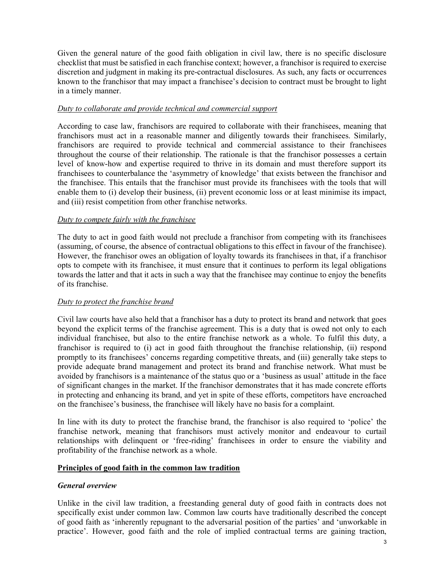Given the general nature of the good faith obligation in civil law, there is no specific disclosure checklist that must be satisfied in each franchise context; however, a franchisor is required to exercise discretion and judgment in making its pre-contractual disclosures. As such, any facts or occurrences known to the franchisor that may impact a franchisee's decision to contract must be brought to light in a timely manner.

## Duty to collaborate and provide technical and commercial support

According to case law, franchisors are required to collaborate with their franchisees, meaning that franchisors must act in a reasonable manner and diligently towards their franchisees. Similarly, franchisors are required to provide technical and commercial assistance to their franchisees throughout the course of their relationship. The rationale is that the franchisor possesses a certain level of know-how and expertise required to thrive in its domain and must therefore support its franchisees to counterbalance the 'asymmetry of knowledge' that exists between the franchisor and the franchisee. This entails that the franchisor must provide its franchisees with the tools that will enable them to (i) develop their business, (ii) prevent economic loss or at least minimise its impact, and (iii) resist competition from other franchise networks.

### Duty to compete fairly with the franchisee

The duty to act in good faith would not preclude a franchisor from competing with its franchisees (assuming, of course, the absence of contractual obligations to this effect in favour of the franchisee). However, the franchisor owes an obligation of loyalty towards its franchisees in that, if a franchisor opts to compete with its franchisee, it must ensure that it continues to perform its legal obligations towards the latter and that it acts in such a way that the franchisee may continue to enjoy the benefits of its franchise.

# Duty to protect the franchise brand

Civil law courts have also held that a franchisor has a duty to protect its brand and network that goes beyond the explicit terms of the franchise agreement. This is a duty that is owed not only to each individual franchisee, but also to the entire franchise network as a whole. To fulfil this duty, a franchisor is required to (i) act in good faith throughout the franchise relationship, (ii) respond promptly to its franchisees' concerns regarding competitive threats, and (iii) generally take steps to provide adequate brand management and protect its brand and franchise network. What must be avoided by franchisors is a maintenance of the status quo or a 'business as usual' attitude in the face of significant changes in the market. If the franchisor demonstrates that it has made concrete efforts in protecting and enhancing its brand, and yet in spite of these efforts, competitors have encroached on the franchisee's business, the franchisee will likely have no basis for a complaint.

In line with its duty to protect the franchise brand, the franchisor is also required to 'police' the franchise network, meaning that franchisors must actively monitor and endeavour to curtail relationships with delinquent or 'free-riding' franchisees in order to ensure the viability and profitability of the franchise network as a whole.

### Principles of good faith in the common law tradition

### General overview

Unlike in the civil law tradition, a freestanding general duty of good faith in contracts does not specifically exist under common law. Common law courts have traditionally described the concept of good faith as 'inherently repugnant to the adversarial position of the parties' and 'unworkable in practice'. However, good faith and the role of implied contractual terms are gaining traction,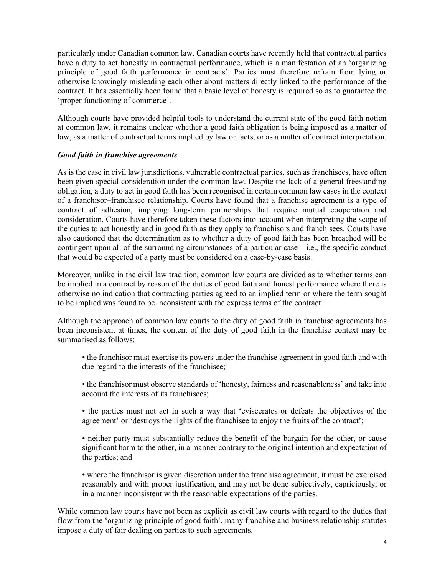particularly under Canadian common law. Canadian courts have recently held that contractual parties have a duty to act honestly in contractual performance, which is a manifestation of an 'organizing principle of good faith performance in contracts'. Parties must therefore refrain from lying or otherwise knowingly misleading each other about matters directly linked to the performance of the contract. It has essentially been found that a basic level of honesty is required so as to guarantee the 'proper functioning of commerce'.

Although courts have provided helpful tools to understand the current state of the good faith notion at common law, it remains unclear whether a good faith obligation is being imposed as a matter of law, as a matter of contractual terms implied by law or facts, or as a matter of contract interpretation.

### Good faith in franchise agreements

As is the case in civil law jurisdictions, vulnerable contractual parties, such as franchisees, have often been given special consideration under the common law. Despite the lack of a general freestanding obligation, a duty to act in good faith has been recognised in certain common law cases in the context of a franchisor–franchisee relationship. Courts have found that a franchise agreement is a type of contract of adhesion, implying long-term partnerships that require mutual cooperation and consideration. Courts have therefore taken these factors into account when interpreting the scope of the duties to act honestly and in good faith as they apply to franchisors and franchisees. Courts have also cautioned that the determination as to whether a duty of good faith has been breached will be contingent upon all of the surrounding circumstances of a particular case – i.e., the specific conduct that would be expected of a party must be considered on a case-by-case basis.

Moreover, unlike in the civil law tradition, common law courts are divided as to whether terms can be implied in a contract by reason of the duties of good faith and honest performance where there is otherwise no indication that contracting parties agreed to an implied term or where the term sought to be implied was found to be inconsistent with the express terms of the contract.

Although the approach of common law courts to the duty of good faith in franchise agreements has been inconsistent at times, the content of the duty of good faith in the franchise context may be summarised as follows:

- the franchisor must exercise its powers under the franchise agreement in good faith and with due regard to the interests of the franchisee;
- the franchisor must observe standards of 'honesty, fairness and reasonableness' and take into account the interests of its franchisees;
- the parties must not act in such a way that 'eviscerates or defeats the objectives of the agreement' or 'destroys the rights of the franchisee to enjoy the fruits of the contract';
- neither party must substantially reduce the benefit of the bargain for the other, or cause significant harm to the other, in a manner contrary to the original intention and expectation of the parties; and
- where the franchisor is given discretion under the franchise agreement, it must be exercised reasonably and with proper justification, and may not be done subjectively, capriciously, or in a manner inconsistent with the reasonable expectations of the parties.

While common law courts have not been as explicit as civil law courts with regard to the duties that flow from the 'organizing principle of good faith', many franchise and business relationship statutes impose a duty of fair dealing on parties to such agreements.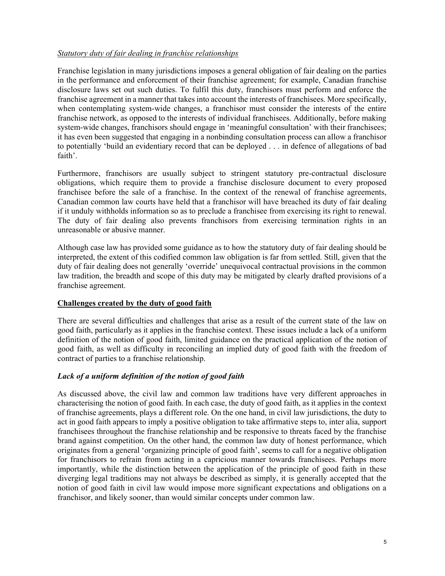## Statutory duty of fair dealing in franchise relationships

Franchise legislation in many jurisdictions imposes a general obligation of fair dealing on the parties in the performance and enforcement of their franchise agreement; for example, Canadian franchise disclosure laws set out such duties. To fulfil this duty, franchisors must perform and enforce the franchise agreement in a manner that takes into account the interests of franchisees. More specifically, when contemplating system-wide changes, a franchisor must consider the interests of the entire franchise network, as opposed to the interests of individual franchisees. Additionally, before making system-wide changes, franchisors should engage in 'meaningful consultation' with their franchisees; it has even been suggested that engaging in a nonbinding consultation process can allow a franchisor to potentially 'build an evidentiary record that can be deployed . . . in defence of allegations of bad faith'.

Furthermore, franchisors are usually subject to stringent statutory pre-contractual disclosure obligations, which require them to provide a franchise disclosure document to every proposed franchisee before the sale of a franchise. In the context of the renewal of franchise agreements, Canadian common law courts have held that a franchisor will have breached its duty of fair dealing if it unduly withholds information so as to preclude a franchisee from exercising its right to renewal. The duty of fair dealing also prevents franchisors from exercising termination rights in an unreasonable or abusive manner.

Although case law has provided some guidance as to how the statutory duty of fair dealing should be interpreted, the extent of this codified common law obligation is far from settled. Still, given that the duty of fair dealing does not generally 'override' unequivocal contractual provisions in the common law tradition, the breadth and scope of this duty may be mitigated by clearly drafted provisions of a franchise agreement.

# Challenges created by the duty of good faith

There are several difficulties and challenges that arise as a result of the current state of the law on good faith, particularly as it applies in the franchise context. These issues include a lack of a uniform definition of the notion of good faith, limited guidance on the practical application of the notion of good faith, as well as difficulty in reconciling an implied duty of good faith with the freedom of contract of parties to a franchise relationship.

# Lack of a uniform definition of the notion of good faith

As discussed above, the civil law and common law traditions have very different approaches in characterising the notion of good faith. In each case, the duty of good faith, as it applies in the context of franchise agreements, plays a different role. On the one hand, in civil law jurisdictions, the duty to act in good faith appears to imply a positive obligation to take affirmative steps to, inter alia, support franchisees throughout the franchise relationship and be responsive to threats faced by the franchise brand against competition. On the other hand, the common law duty of honest performance, which originates from a general 'organizing principle of good faith', seems to call for a negative obligation for franchisors to refrain from acting in a capricious manner towards franchisees. Perhaps more importantly, while the distinction between the application of the principle of good faith in these diverging legal traditions may not always be described as simply, it is generally accepted that the notion of good faith in civil law would impose more significant expectations and obligations on a franchisor, and likely sooner, than would similar concepts under common law.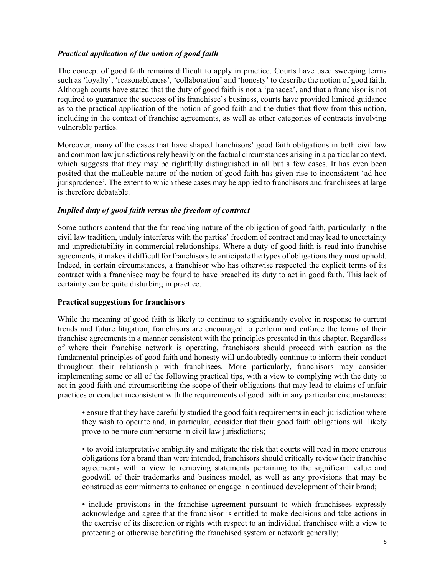# Practical application of the notion of good faith

The concept of good faith remains difficult to apply in practice. Courts have used sweeping terms such as 'loyalty', 'reasonableness', 'collaboration' and 'honesty' to describe the notion of good faith. Although courts have stated that the duty of good faith is not a 'panacea', and that a franchisor is not required to guarantee the success of its franchisee's business, courts have provided limited guidance as to the practical application of the notion of good faith and the duties that flow from this notion, including in the context of franchise agreements, as well as other categories of contracts involving vulnerable parties.

Moreover, many of the cases that have shaped franchisors' good faith obligations in both civil law and common law jurisdictions rely heavily on the factual circumstances arising in a particular context, which suggests that they may be rightfully distinguished in all but a few cases. It has even been posited that the malleable nature of the notion of good faith has given rise to inconsistent 'ad hoc jurisprudence'. The extent to which these cases may be applied to franchisors and franchisees at large is therefore debatable.

### Implied duty of good faith versus the freedom of contract

Some authors contend that the far-reaching nature of the obligation of good faith, particularly in the civil law tradition, unduly interferes with the parties' freedom of contract and may lead to uncertainty and unpredictability in commercial relationships. Where a duty of good faith is read into franchise agreements, it makes it difficult for franchisors to anticipate the types of obligations they must uphold. Indeed, in certain circumstances, a franchisor who has otherwise respected the explicit terms of its contract with a franchisee may be found to have breached its duty to act in good faith. This lack of certainty can be quite disturbing in practice.

### Practical suggestions for franchisors

While the meaning of good faith is likely to continue to significantly evolve in response to current trends and future litigation, franchisors are encouraged to perform and enforce the terms of their franchise agreements in a manner consistent with the principles presented in this chapter. Regardless of where their franchise network is operating, franchisors should proceed with caution as the fundamental principles of good faith and honesty will undoubtedly continue to inform their conduct throughout their relationship with franchisees. More particularly, franchisors may consider implementing some or all of the following practical tips, with a view to complying with the duty to act in good faith and circumscribing the scope of their obligations that may lead to claims of unfair practices or conduct inconsistent with the requirements of good faith in any particular circumstances:

• ensure that they have carefully studied the good faith requirements in each jurisdiction where they wish to operate and, in particular, consider that their good faith obligations will likely prove to be more cumbersome in civil law jurisdictions;

• to avoid interpretative ambiguity and mitigate the risk that courts will read in more onerous obligations for a brand than were intended, franchisors should critically review their franchise agreements with a view to removing statements pertaining to the significant value and goodwill of their trademarks and business model, as well as any provisions that may be construed as commitments to enhance or engage in continued development of their brand;

• include provisions in the franchise agreement pursuant to which franchisees expressly acknowledge and agree that the franchisor is entitled to make decisions and take actions in the exercise of its discretion or rights with respect to an individual franchisee with a view to protecting or otherwise benefiting the franchised system or network generally;